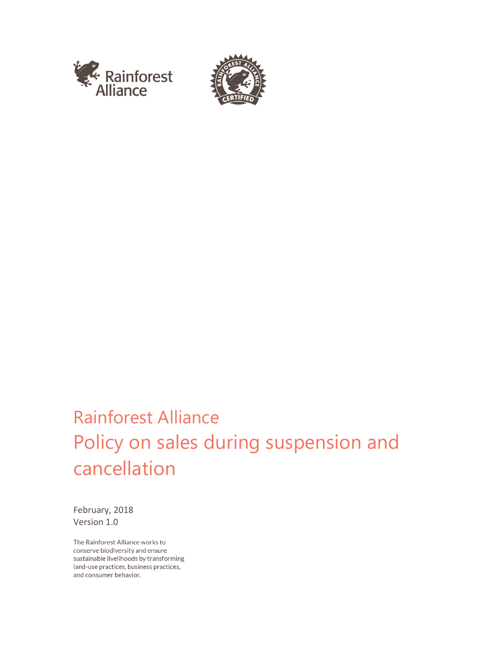



# Rainforest Alliance Policy on sales during suspension and cancellation

February, 2018 Version 1.0

The Rainforest Alliance works to conserve biodiversity and ensure sustainable livelihoods by transforming land-use practices, business practices, and consumer behavior.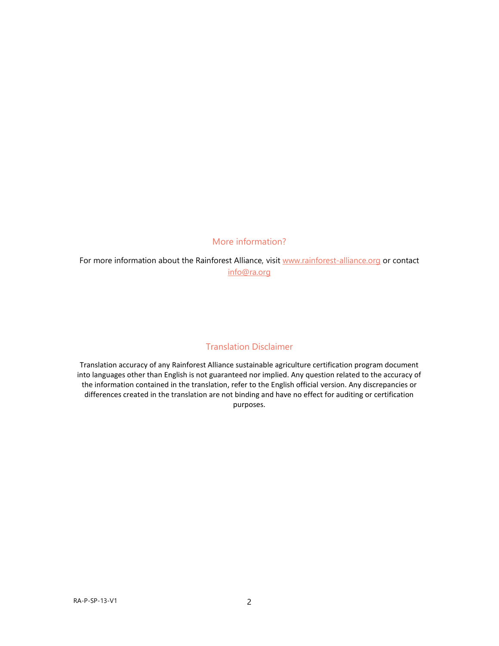#### More information?

For more information about the Rainforest Alliance, visit [www.rainforest-alliance.org](http://www.rainforest-alliance.org/) or contact [info@ra.org](mailto:info@ra.org)

## Translation Disclaimer

Translation accuracy of any Rainforest Alliance sustainable agriculture certification program document into languages other than English is not guaranteed nor implied. Any question related to the accuracy of the information contained in the translation, refer to the English official version. Any discrepancies or differences created in the translation are not binding and have no effect for auditing or certification purposes.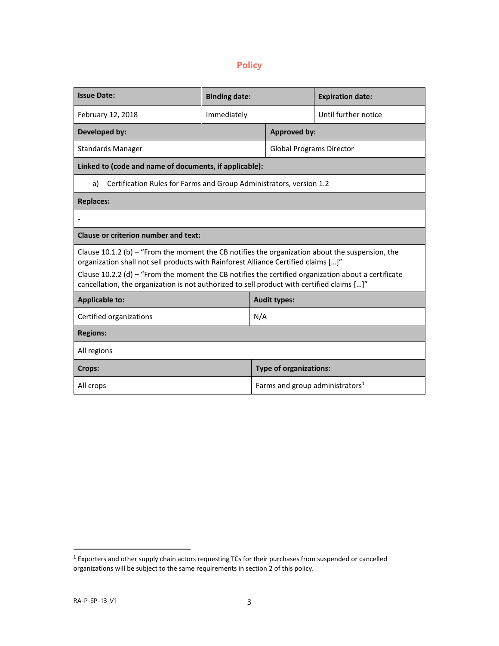## **Policy**

| <b>Issue Date:</b>                                                                                                                                                                                | <b>Binding date:</b> |                                             | <b>Expiration date:</b> |
|---------------------------------------------------------------------------------------------------------------------------------------------------------------------------------------------------|----------------------|---------------------------------------------|-------------------------|
| February 12, 2018                                                                                                                                                                                 | Immediately          |                                             | Until further notice    |
| Developed by:                                                                                                                                                                                     |                      | <b>Approved by:</b>                         |                         |
| <b>Standards Manager</b>                                                                                                                                                                          |                      | <b>Global Programs Director</b>             |                         |
| Linked to (code and name of documents, if applicable):                                                                                                                                            |                      |                                             |                         |
| Certification Rules for Farms and Group Administrators, version 1.2<br>a)                                                                                                                         |                      |                                             |                         |
| <b>Replaces:</b>                                                                                                                                                                                  |                      |                                             |                         |
|                                                                                                                                                                                                   |                      |                                             |                         |
| Clause or criterion number and text:                                                                                                                                                              |                      |                                             |                         |
| Clause 10.1.2 (b) – "From the moment the CB notifies the organization about the suspension, the<br>organization shall not sell products with Rainforest Alliance Certified claims []"             |                      |                                             |                         |
| Clause 10.2.2 (d) – "From the moment the CB notifies the certified organization about a certificate<br>cancellation, the organization is not authorized to sell product with certified claims []" |                      |                                             |                         |
| <b>Applicable to:</b>                                                                                                                                                                             |                      | <b>Audit types:</b>                         |                         |
| Certified organizations                                                                                                                                                                           |                      | N/A                                         |                         |
| <b>Regions:</b>                                                                                                                                                                                   |                      |                                             |                         |
| All regions                                                                                                                                                                                       |                      |                                             |                         |
| Crops:                                                                                                                                                                                            |                      | <b>Type of organizations:</b>               |                         |
| All crops                                                                                                                                                                                         |                      | Farms and group administrators <sup>1</sup> |                         |

 1 Exporters and other supply chain actors requesting TCs for their purchases from suspended or cancelled organizations will be subject to the same requirements in section 2 of this policy.